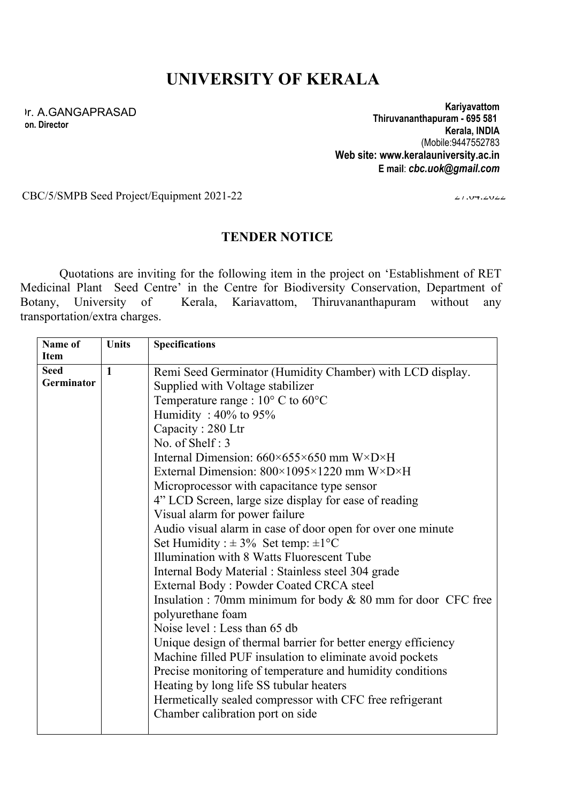## **UNIVERSITY OF KERALA**

Dr. A.GANGAPRASAD **on. Director**

**Kariyavattom Thiruvananthapuram - 695 581 Kerala, INDIA** (Mobile:9447552783 **Web site: www.keralauniversity.ac.in E mail**: *cbc.uok@gmail.com*

CBC/5/SMPB Seed Project/Equipment 2021-22 27.04.2022

## **TENDER NOTICE**

Quotations are inviting for the following item in the project on 'Establishment of RET Medicinal Plant Seed Centre' in the Centre for Biodiversity Conservation, Department of Botany, University of Kerala, Kariavattom, Thiruvananthapuram without any Kerala, Kariavattom, Thiruvananthapuram without any transportation/extra charges.

| Name of<br>Item | <b>Units</b> | <b>Specifications</b>                                                      |
|-----------------|--------------|----------------------------------------------------------------------------|
| <b>Seed</b>     | $\mathbf{1}$ | Remi Seed Germinator (Humidity Chamber) with LCD display.                  |
| Germinator      |              | Supplied with Voltage stabilizer                                           |
|                 |              | Temperature range : $10^{\circ}$ C to $60^{\circ}$ C                       |
|                 |              | Humidity: $40\%$ to $95\%$                                                 |
|                 |              | Capacity: 280 Ltr                                                          |
|                 |              | No. of Shelf: 3                                                            |
|                 |              | Internal Dimension: $660 \times 655 \times 650$ mm W $\times$ D $\times$ H |
|                 |              | External Dimension: $800\times1095\times1220$ mm W $\times$ D $\times$ H   |
|                 |              | Microprocessor with capacitance type sensor                                |
|                 |              | 4" LCD Screen, large size display for ease of reading                      |
|                 |              | Visual alarm for power failure                                             |
|                 |              | Audio visual alarm in case of door open for over one minute                |
|                 |              | Set Humidity : $\pm 3\%$ Set temp: $\pm 1^{\circ}C$                        |
|                 |              | Illumination with 8 Watts Fluorescent Tube                                 |
|                 |              | Internal Body Material : Stainless steel 304 grade                         |
|                 |              | External Body: Powder Coated CRCA steel                                    |
|                 |              | Insulation : 70mm minimum for body $& 80$ mm for door CFC free             |
|                 |              | polyurethane foam                                                          |
|                 |              | Noise level: Less than 65 db                                               |
|                 |              | Unique design of thermal barrier for better energy efficiency              |
|                 |              | Machine filled PUF insulation to eliminate avoid pockets                   |
|                 |              | Precise monitoring of temperature and humidity conditions                  |
|                 |              | Heating by long life SS tubular heaters                                    |
|                 |              | Hermetically sealed compressor with CFC free refrigerant                   |
|                 |              | Chamber calibration port on side                                           |
|                 |              |                                                                            |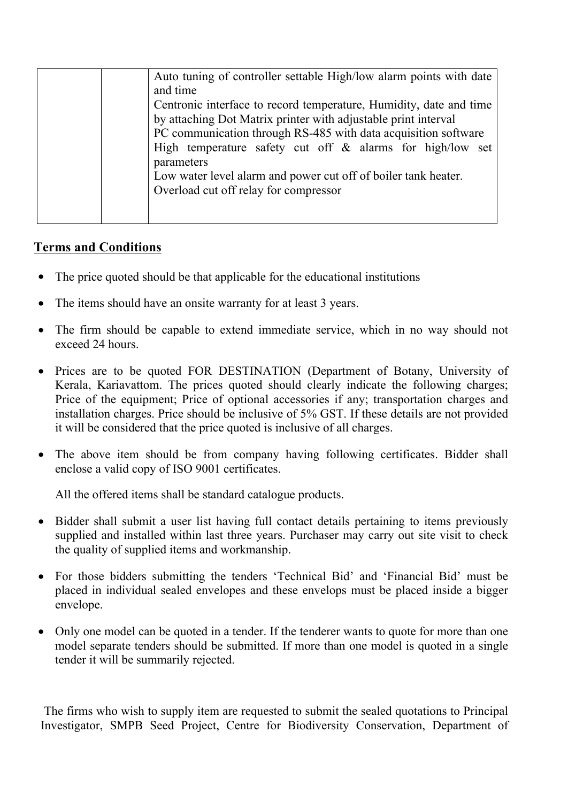| Auto tuning of controller settable High/low alarm points with date |
|--------------------------------------------------------------------|
| and time                                                           |
| Centronic interface to record temperature, Humidity, date and time |
| by attaching Dot Matrix printer with adjustable print interval     |
| PC communication through RS-485 with data acquisition software     |
| High temperature safety cut off $\&$ alarms for high/low set       |
| parameters                                                         |
| Low water level alarm and power cut off of boiler tank heater.     |
| Overload cut off relay for compressor                              |
|                                                                    |
|                                                                    |

## **Terms and Conditions**

- The price quoted should be that applicable for the educational institutions
- The items should have an onsite warranty for at least 3 years.
- The firm should be capable to extend immediate service, which in no way should not exceed 24 hours.
- Prices are to be quoted FOR DESTINATION (Department of Botany, University of Kerala, Kariavattom. The prices quoted should clearly indicate the following charges; Price of the equipment; Price of optional accessories if any; transportation charges and installation charges. Price should be inclusive of 5% GST. If these details are not provided it will be considered that the price quoted is inclusive of all charges.
- The above item should be from company having following certificates. Bidder shall enclose a valid copy of ISO 9001 certificates.

All the offered items shall be standard catalogue products.

- Bidder shall submit a user list having full contact details pertaining to items previously supplied and installed within last three years. Purchaser may carry out site visit to check the quality of supplied items and workmanship.
- For those bidders submitting the tenders 'Technical Bid' and 'Financial Bid' must be placed in individual sealed envelopes and these envelops must be placed inside a bigger envelope.
- Only one model can be quoted in a tender. If the tenderer wants to quote for more than one model separate tenders should be submitted. If more than one model is quoted in a single tender it will be summarily rejected.

The firms who wish to supply item are requested to submit the sealed quotations to Principal Investigator, SMPB Seed Project, Centre for Biodiversity Conservation, Department of